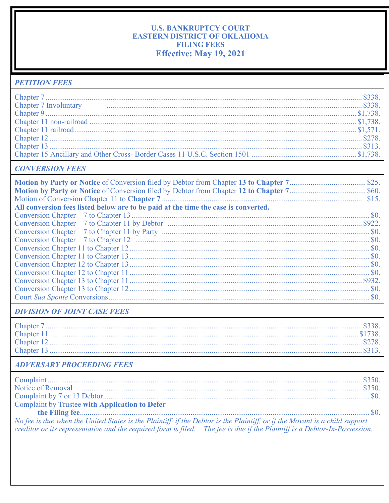## **U.S. BANKRUPTCY COURT** EASTERN DISTRICT OF OKLAHOMA **FILING FEES** Effective: May 19, 2021

| <b>PETITION FEES</b>                                                                                                                                                                                                                                    |  |
|---------------------------------------------------------------------------------------------------------------------------------------------------------------------------------------------------------------------------------------------------------|--|
|                                                                                                                                                                                                                                                         |  |
| Chapter 7 Involuntary <b>Example 2018</b> Chapter 7 Involuntary \$338.                                                                                                                                                                                  |  |
|                                                                                                                                                                                                                                                         |  |
|                                                                                                                                                                                                                                                         |  |
|                                                                                                                                                                                                                                                         |  |
|                                                                                                                                                                                                                                                         |  |
|                                                                                                                                                                                                                                                         |  |
|                                                                                                                                                                                                                                                         |  |
| <b>CONVERSION FEES</b>                                                                                                                                                                                                                                  |  |
|                                                                                                                                                                                                                                                         |  |
|                                                                                                                                                                                                                                                         |  |
|                                                                                                                                                                                                                                                         |  |
| All conversion fees listed below are to be paid at the time the case is converted.                                                                                                                                                                      |  |
|                                                                                                                                                                                                                                                         |  |
| <b>Conversion Chapter</b>                                                                                                                                                                                                                               |  |
| <b>Conversion Chapter</b>                                                                                                                                                                                                                               |  |
| <b>Conversion Chapter</b>                                                                                                                                                                                                                               |  |
|                                                                                                                                                                                                                                                         |  |
|                                                                                                                                                                                                                                                         |  |
|                                                                                                                                                                                                                                                         |  |
|                                                                                                                                                                                                                                                         |  |
|                                                                                                                                                                                                                                                         |  |
|                                                                                                                                                                                                                                                         |  |
|                                                                                                                                                                                                                                                         |  |
| <b>DIVISION OF JOINT CASE FEES</b>                                                                                                                                                                                                                      |  |
|                                                                                                                                                                                                                                                         |  |
|                                                                                                                                                                                                                                                         |  |
|                                                                                                                                                                                                                                                         |  |
|                                                                                                                                                                                                                                                         |  |
| <b>ADVERSARY PROCEEDING FEES</b>                                                                                                                                                                                                                        |  |
|                                                                                                                                                                                                                                                         |  |
|                                                                                                                                                                                                                                                         |  |
|                                                                                                                                                                                                                                                         |  |
| Complaint by Trustee with Application to Defer                                                                                                                                                                                                          |  |
|                                                                                                                                                                                                                                                         |  |
| No fee is due when the United States is the Plaintiff, if the Debtor is the Plaintiff, or if the Movant is a child support<br>creditor or its representative and the required form is filed. The fee is due if the Plaintiff is a Debtor-In-Possession. |  |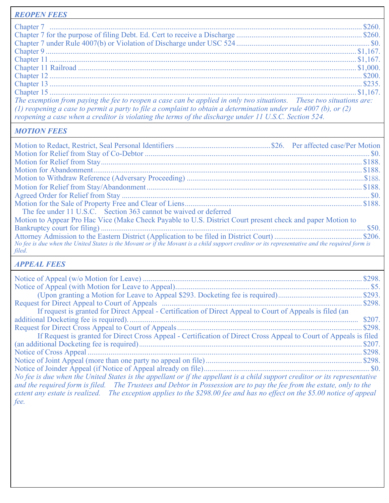| <b>REOPEN FEES</b>                                                                                                                                                                                                                                                                                                                               |  |
|--------------------------------------------------------------------------------------------------------------------------------------------------------------------------------------------------------------------------------------------------------------------------------------------------------------------------------------------------|--|
|                                                                                                                                                                                                                                                                                                                                                  |  |
|                                                                                                                                                                                                                                                                                                                                                  |  |
|                                                                                                                                                                                                                                                                                                                                                  |  |
|                                                                                                                                                                                                                                                                                                                                                  |  |
|                                                                                                                                                                                                                                                                                                                                                  |  |
|                                                                                                                                                                                                                                                                                                                                                  |  |
|                                                                                                                                                                                                                                                                                                                                                  |  |
|                                                                                                                                                                                                                                                                                                                                                  |  |
|                                                                                                                                                                                                                                                                                                                                                  |  |
| The exemption from paying the fee to reopen a case can be applied in only two situations. These two situations are:<br>(1) reopening a case to permit a party to file a complaint to obtain a determination under rule 4007 (b), or (2)<br>reopening a case when a creditor is violating the terms of the discharge under 11 U.S.C. Section 524. |  |

## *MOTION FEES*

| The fee under 11 U.S.C. Section 363 cannot be waived or deferred                                                                               |  |
|------------------------------------------------------------------------------------------------------------------------------------------------|--|
| Motion to Appear Pro Hac Vice (Make Check Payable to U.S. District Court present check and paper Motion to                                     |  |
|                                                                                                                                                |  |
|                                                                                                                                                |  |
| No fee is due when the United States is the Movant or if the Movant is a child support creditor or its representative and the required form is |  |
| filed.                                                                                                                                         |  |

## *APPEAL FEES*

| If request is granted for Direct Appeal - Certification of Direct Appeal to Court of Appeals is filed (an                                                                                                                                                                                                                                                                         |        |
|-----------------------------------------------------------------------------------------------------------------------------------------------------------------------------------------------------------------------------------------------------------------------------------------------------------------------------------------------------------------------------------|--------|
|                                                                                                                                                                                                                                                                                                                                                                                   | \$207. |
|                                                                                                                                                                                                                                                                                                                                                                                   |        |
| If Request is granted for Direct Cross Appeal - Certification of Direct Cross Appeal to Court of Appeals is filed                                                                                                                                                                                                                                                                 |        |
|                                                                                                                                                                                                                                                                                                                                                                                   |        |
|                                                                                                                                                                                                                                                                                                                                                                                   |        |
|                                                                                                                                                                                                                                                                                                                                                                                   |        |
|                                                                                                                                                                                                                                                                                                                                                                                   |        |
| No fee is due when the United States is the appellant or if the appellant is a child support creditor or its representative<br>and the required form is filed. The Trustees and Debtor in Possession are to pay the fee from the estate, only to the<br>extent any estate is realized. The exception applies to the \$298.00 fee and has no effect on the \$5.00 notice of appeal |        |
| fee.                                                                                                                                                                                                                                                                                                                                                                              |        |